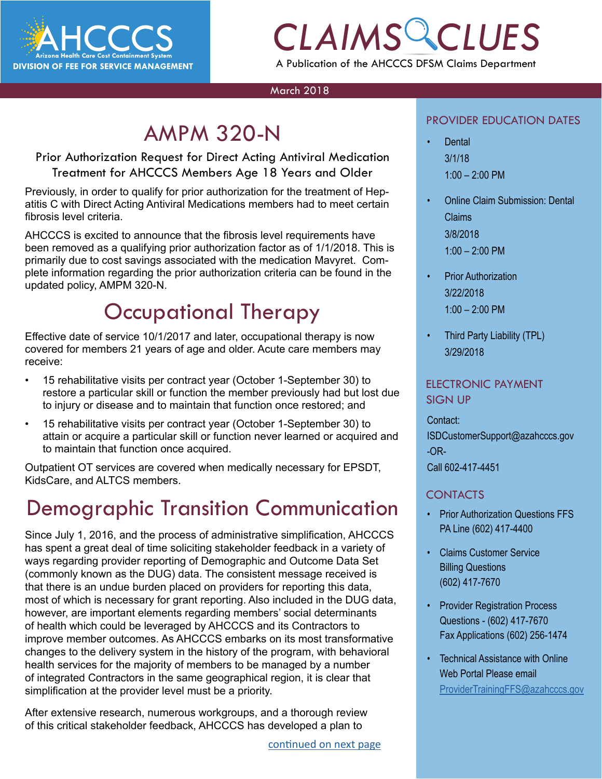

## *CLAIMS CLUES* A Publication of the AHCCCS DFSM Claims Department

#### March 2018

## AMPM 320-N

Prior Authorization Request for Direct Acting Antiviral Medication Treatment for AHCCCS Members Age 18 Years and Older

Previously, in order to qualify for prior authorization for the treatment of Hepatitis C with Direct Acting Antiviral Medications members had to meet certain fibrosis level criteria.

AHCCCS is excited to announce that the fibrosis level requirements have been removed as a qualifying prior authorization factor as of 1/1/2018. This is primarily due to cost savings associated with the medication Mavyret. Complete information regarding the prior authorization criteria can be found in the updated policy, AMPM 320-N.

## Occupational Therapy

Effective date of service 10/1/2017 and later, occupational therapy is now covered for members 21 years of age and older. Acute care members may receive:

- 15 rehabilitative visits per contract year (October 1-September 30) to restore a particular skill or function the member previously had but lost due to injury or disease and to maintain that function once restored; and
- 15 rehabilitative visits per contract year (October 1-September 30) to attain or acquire a particular skill or function never learned or acquired and to maintain that function once acquired.

Outpatient OT services are covered when medically necessary for EPSDT, KidsCare, and ALTCS members.

### Demographic Transition Communication

Since July 1, 2016, and the process of administrative simplification, AHCCCS has spent a great deal of time soliciting stakeholder feedback in a variety of ways regarding provider reporting of Demographic and Outcome Data Set (commonly known as the DUG) data. The consistent message received is that there is an undue burden placed on providers for reporting this data, most of which is necessary for grant reporting. Also included in the DUG data, however, are important elements regarding members' social determinants of health which could be leveraged by AHCCCS and its Contractors to improve member outcomes. As AHCCCS embarks on its most transformative changes to the delivery system in the history of the program, with behavioral health services for the majority of members to be managed by a number of integrated Contractors in the same geographical region, it is clear that simplification at the provider level must be a priority.

After extensive research, numerous workgroups, and a thorough review of this critical stakeholder feedback, AHCCCS has developed a plan to

#### PROVIDER EDUCATION DATES

- PROVIDER EDUCATION DATES<br> **CONTRACT CONTRACT PERSONAL PROVIDER**<br>
2/1/18 • Dental 3/1/18  $1:00 - 2:00$  PM
	- Online Claim Submission: Dental Claims 3/8/2018 1:00 – 2:00 PM
	- Prior Authorization 3/22/2018 1:00 – 2:00 PM
	- Third Party Liability (TPL) 3/29/2018

### ELECTRONIC PAYMENT SIGN UP

#### Contact:

ISDCustomerSupport@azahcccs.gov -OR-

Call 602-417-4451

### CONTACTS

- Prior Authorization Questions FFS PA Line (602) 417-4400
- Claims Customer Service Billing Questions (602) 417-7670
- **Provider Registration Process** Questions - (602) 417-7670 Fax Applications (602) 256-1474
- Technical Assistance with Online Web Portal Please email [ProviderTrainingFFS@azahcccs.gov](mailto:ProviderTrainingFFS%40azahcccs.gov%20?subject=)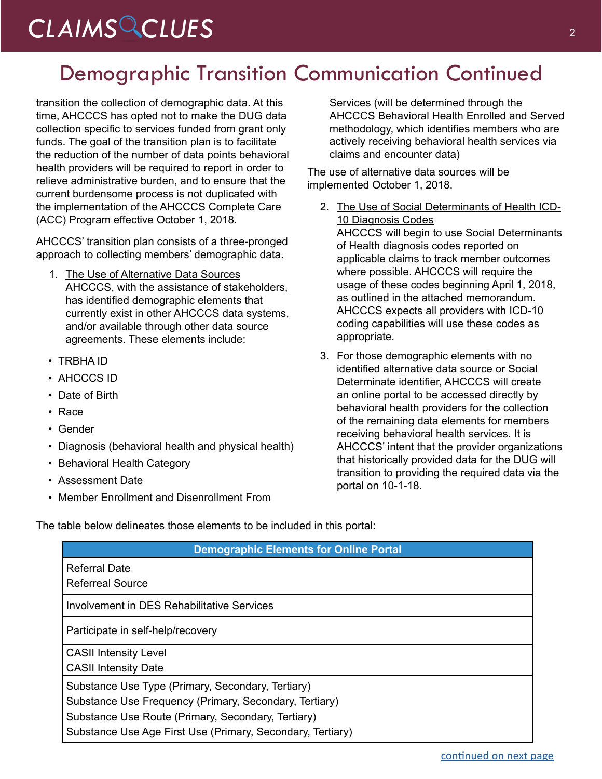# <span id="page-1-0"></span>*CLAIMS CLUES* <sup>2</sup>

## Demographic Transition Communication Continued

transition the collection of demographic data. At this time, AHCCCS has opted not to make the DUG data collection specific to services funded from grant only funds. The goal of the transition plan is to facilitate the reduction of the number of data points behavioral health providers will be required to report in order to relieve administrative burden, and to ensure that the current burdensome process is not duplicated with the implementation of the AHCCCS Complete Care (ACC) Program effective October 1, 2018.

AHCCCS' transition plan consists of a three-pronged approach to collecting members' demographic data.

- 1. The Use of Alternative Data Sources AHCCCS, with the assistance of stakeholders, has identified demographic elements that currently exist in other AHCCCS data systems, and/or available through other data source agreements. These elements include:
- TRBHA ID
- AHCCCS ID
- Date of Birth
- Race
- Gender
- Diagnosis (behavioral health and physical health)
- Behavioral Health Category
- Assessment Date
- Member Enrollment and Disenrollment From

Services (will be determined through the AHCCCS Behavioral Health Enrolled and Served methodology, which identifies members who are actively receiving behavioral health services via claims and encounter data)

The use of alternative data sources will be implemented October 1, 2018.

- 2. The Use of Social Determinants of Health ICD-10 Diagnosis Codes AHCCCS will begin to use Social Determinants of Health diagnosis codes reported on applicable claims to track member outcomes where possible. AHCCCS will require the usage of these codes beginning April 1, 2018, as outlined in the attached memorandum. AHCCCS expects all providers with ICD-10 coding capabilities will use these codes as appropriate.
- 3. For those demographic elements with no identified alternative data source or Social Determinate identifier, AHCCCS will create an online portal to be accessed directly by behavioral health providers for the collection of the remaining data elements for members receiving behavioral health services. It is AHCCCS' intent that the provider organizations that historically provided data for the DUG will transition to providing the required data via the portal on 10-1-18.

The table below delineates those elements to be included in this portal:

| <b>Demographic Elements for Online Portal</b>                                                                                                                                                                                   |
|---------------------------------------------------------------------------------------------------------------------------------------------------------------------------------------------------------------------------------|
| <b>Referral Date</b><br>Referreal Source                                                                                                                                                                                        |
| Involvement in DES Rehabilitative Services                                                                                                                                                                                      |
| Participate in self-help/recovery                                                                                                                                                                                               |
| <b>CASII Intensity Level</b><br><b>CASII Intensity Date</b>                                                                                                                                                                     |
| Substance Use Type (Primary, Secondary, Tertiary)<br>Substance Use Frequency (Primary, Secondary, Tertiary)<br>Substance Use Route (Primary, Secondary, Tertiary)<br>Substance Use Age First Use (Primary, Secondary, Tertiary) |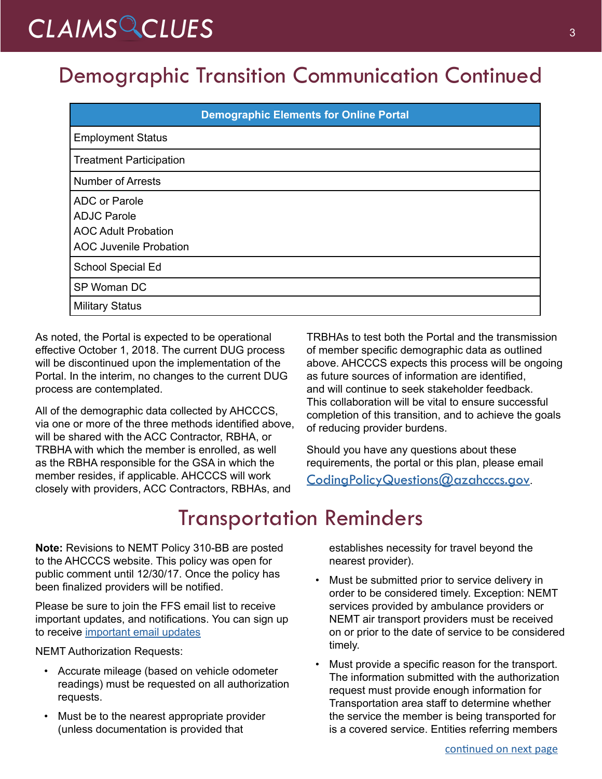# <span id="page-2-0"></span>CLAIMS CLUES<sup>3</sup>

## Demographic Transition Communication Continued

|                                                                                                           | <b>Demographic Elements for Online Portal</b> |
|-----------------------------------------------------------------------------------------------------------|-----------------------------------------------|
| <b>Employment Status</b>                                                                                  |                                               |
| <b>Treatment Participation</b>                                                                            |                                               |
| <b>Number of Arrests</b>                                                                                  |                                               |
| <b>ADC or Parole</b><br><b>ADJC Parole</b><br><b>AOC Adult Probation</b><br><b>AOC Juvenile Probation</b> |                                               |
| School Special Ed                                                                                         |                                               |
| SP Woman DC                                                                                               |                                               |
| <b>Military Status</b>                                                                                    |                                               |

As noted, the Portal is expected to be operational effective October 1, 2018. The current DUG process will be discontinued upon the implementation of the Portal. In the interim, no changes to the current DUG process are contemplated.

All of the demographic data collected by AHCCCS, via one or more of the three methods identified above, will be shared with the ACC Contractor, RBHA, or TRBHA with which the member is enrolled, as well as the RBHA responsible for the GSA in which the member resides, if applicable. AHCCCS will work closely with providers, ACC Contractors, RBHAs, and

TRBHAs to test both the Portal and the transmission of member specific demographic data as outlined above. AHCCCS expects this process will be ongoing as future sources of information are identified, and will continue to seek stakeholder feedback. This collaboration will be vital to ensure successful completion of this transition, and to achieve the goals of reducing provider burdens.

Should you have any questions about these requirements, the portal or this plan, please email

[CodingPolicyQuestions@azahcccs.gov](mailto:CodingPolicyQuestions%40azahcccs.gov?subject=).

## Transportation Reminders

**Note:** Revisions to NEMT Policy 310-BB are posted to the AHCCCS website. This policy was open for public comment until 12/30/17. Once the policy has been finalized providers will be notified.

Please be sure to join the FFS email list to receive important updates, and notifications. You can sign up to receive [important email updates](https://azahcccs.gov/PlansProviders/RatesAndBilling/FFS/ffs_emaillist.html)

NEMT Authorization Requests:

- Accurate mileage (based on vehicle odometer readings) must be requested on all authorization requests.
- Must be to the nearest appropriate provider (unless documentation is provided that

establishes necessity for travel beyond the nearest provider).

- Must be submitted prior to service delivery in order to be considered timely. Exception: NEMT services provided by ambulance providers or NEMT air transport providers must be received on or prior to the date of service to be considered timely.
- Must provide a specific reason for the transport. The information submitted with the authorization request must provide enough information for Transportation area staff to determine whether the service the member is being transported for is a covered service. Entities referring members